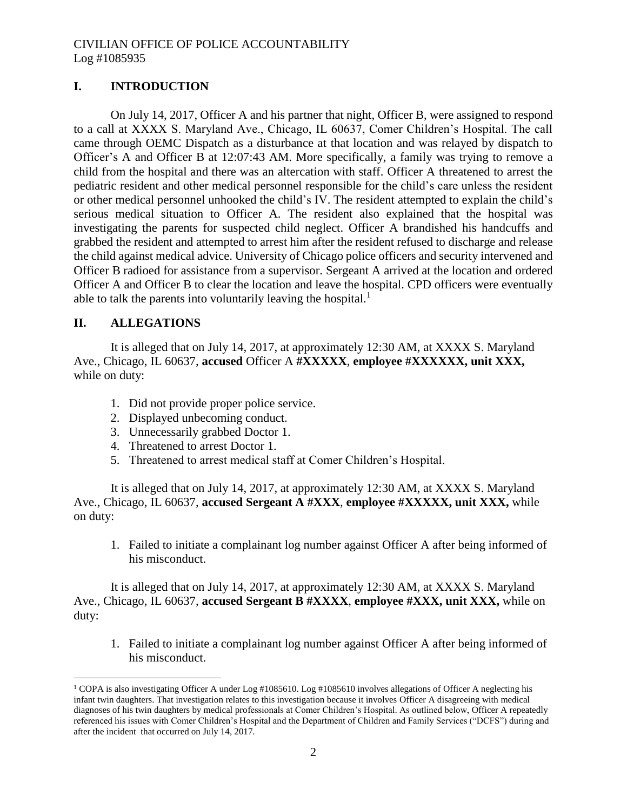# **I. INTRODUCTION**

On July 14, 2017, Officer A and his partner that night, Officer B, were assigned to respond to a call at XXXX S. Maryland Ave., Chicago, IL 60637, Comer Children's Hospital. The call came through OEMC Dispatch as a disturbance at that location and was relayed by dispatch to Officer's A and Officer B at 12:07:43 AM. More specifically, a family was trying to remove a child from the hospital and there was an altercation with staff. Officer A threatened to arrest the pediatric resident and other medical personnel responsible for the child's care unless the resident or other medical personnel unhooked the child's IV. The resident attempted to explain the child's serious medical situation to Officer A. The resident also explained that the hospital was investigating the parents for suspected child neglect. Officer A brandished his handcuffs and grabbed the resident and attempted to arrest him after the resident refused to discharge and release the child against medical advice. University of Chicago police officers and security intervened and Officer B radioed for assistance from a supervisor. Sergeant A arrived at the location and ordered Officer A and Officer B to clear the location and leave the hospital. CPD officers were eventually able to talk the parents into voluntarily leaving the hospital. $<sup>1</sup>$ </sup>

# **II. ALLEGATIONS**

 $\overline{a}$ 

It is alleged that on July 14, 2017, at approximately 12:30 AM, at XXXX S. Maryland Ave., Chicago, IL 60637, **accused** Officer A **#XXXXX**, **employee #XXXXXX, unit XXX,**  while on duty:

- 1. Did not provide proper police service.
- 2. Displayed unbecoming conduct.
- 3. Unnecessarily grabbed Doctor 1.
- 4. Threatened to arrest Doctor 1.
- 5. Threatened to arrest medical staff at Comer Children's Hospital.

It is alleged that on July 14, 2017, at approximately 12:30 AM, at XXXX S. Maryland Ave., Chicago, IL 60637, **accused Sergeant A #XXX**, **employee #XXXXX, unit XXX,** while on duty:

1. Failed to initiate a complainant log number against Officer A after being informed of his misconduct.

It is alleged that on July 14, 2017, at approximately 12:30 AM, at XXXX S. Maryland Ave., Chicago, IL 60637, **accused Sergeant B #XXXX**, **employee #XXX, unit XXX,** while on duty:

1. Failed to initiate a complainant log number against Officer A after being informed of his misconduct.

<sup>&</sup>lt;sup>1</sup> COPA is also investigating Officer A under Log #1085610. Log #1085610 involves allegations of Officer A neglecting his infant twin daughters. That investigation relates to this investigation because it involves Officer A disagreeing with medical diagnoses of his twin daughters by medical professionals at Comer Children's Hospital. As outlined below, Officer A repeatedly referenced his issues with Comer Children's Hospital and the Department of Children and Family Services ("DCFS") during and after the incident that occurred on July 14, 2017.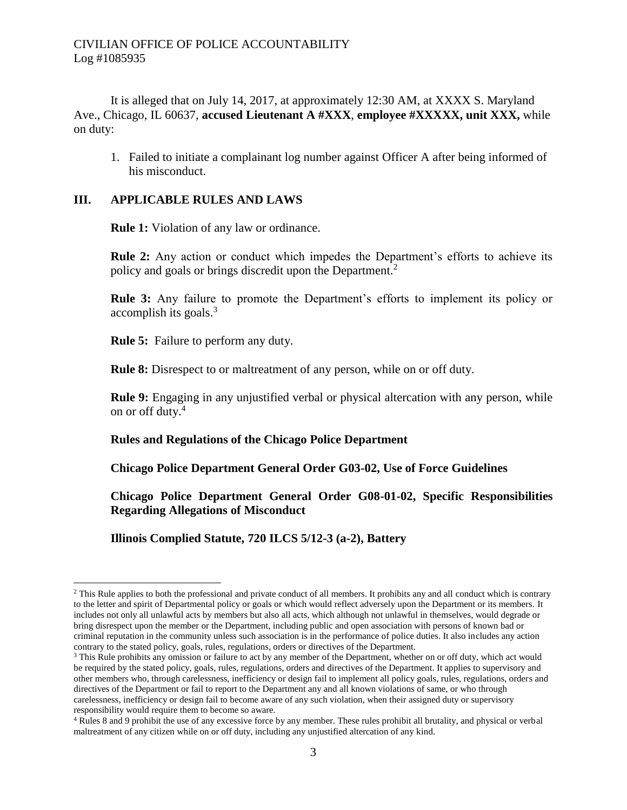It is alleged that on July 14, 2017, at approximately 12:30 AM, at XXXX S. Maryland Ave., Chicago, IL 60637, **accused Lieutenant A #XXX**, **employee #XXXXX, unit XXX,** while on duty:

1. Failed to initiate a complainant log number against Officer A after being informed of his misconduct.

## **III. APPLICABLE RULES AND LAWS**

**Rule 1:** Violation of any law or ordinance.

**Rule 2:** Any action or conduct which impedes the Department's efforts to achieve its policy and goals or brings discredit upon the Department.<sup>2</sup>

**Rule 3:** Any failure to promote the Department's efforts to implement its policy or accomplish its goals. $3$ 

**Rule 5:** Failure to perform any duty.

**Rule 8:** Disrespect to or maltreatment of any person, while on or off duty.

**Rule 9:** Engaging in any unjustified verbal or physical altercation with any person, while on or off duty.<sup>4</sup>

## **Rules and Regulations of the Chicago Police Department**

**Chicago Police Department General Order G03-02, Use of Force Guidelines**

**Chicago Police Department General Order G08-01-02, Specific Responsibilities Regarding Allegations of Misconduct**

**Illinois Complied Statute, 720 ILCS 5/12-3 (a-2), Battery**

 $\overline{a}$ <sup>2</sup> This Rule applies to both the professional and private conduct of all members. It prohibits any and all conduct which is contrary to the letter and spirit of Departmental policy or goals or which would reflect adversely upon the Department or its members. It includes not only all unlawful acts by members but also all acts, which although not unlawful in themselves, would degrade or bring disrespect upon the member or the Department, including public and open association with persons of known bad or criminal reputation in the community unless such association is in the performance of police duties. It also includes any action contrary to the stated policy, goals, rules, regulations, orders or directives of the Department.

<sup>&</sup>lt;sup>3</sup> This Rule prohibits any omission or failure to act by any member of the Department, whether on or off duty, which act would be required by the stated policy, goals, rules, regulations, orders and directives of the Department. It applies to supervisory and other members who, through carelessness, inefficiency or design fail to implement all policy goals, rules, regulations, orders and directives of the Department or fail to report to the Department any and all known violations of same, or who through carelessness, inefficiency or design fail to become aware of any such violation, when their assigned duty or supervisory responsibility would require them to become so aware.

<sup>4</sup> Rules 8 and 9 prohibit the use of any excessive force by any member. These rules prohibit all brutality, and physical or verbal maltreatment of any citizen while on or off duty, including any unjustified altercation of any kind.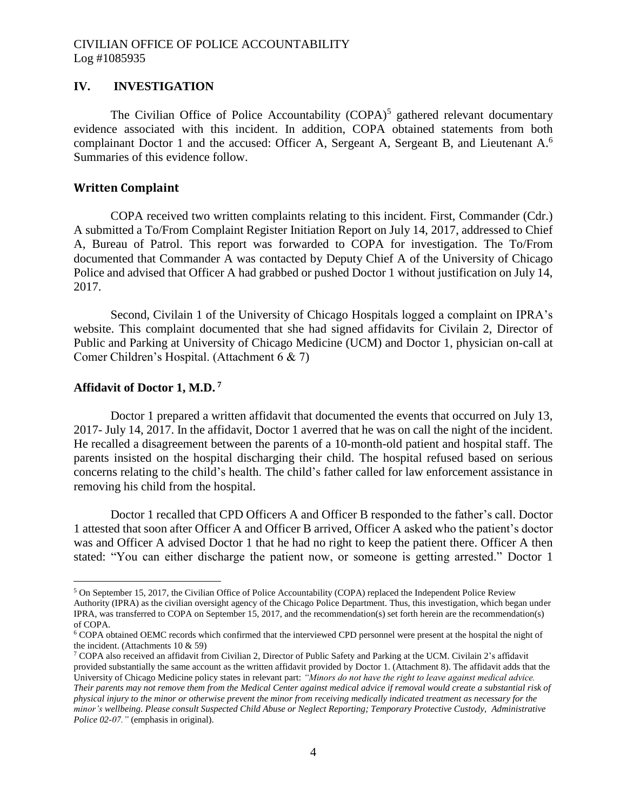### **IV. INVESTIGATION**

The Civilian Office of Police Accountability  $(COPA)^5$  gathered relevant documentary evidence associated with this incident. In addition, COPA obtained statements from both complainant Doctor 1 and the accused: Officer A, Sergeant A, Sergeant B, and Lieutenant A.<sup>6</sup> Summaries of this evidence follow.

### **Written Complaint**

COPA received two written complaints relating to this incident. First, Commander (Cdr.) A submitted a To/From Complaint Register Initiation Report on July 14, 2017, addressed to Chief A, Bureau of Patrol. This report was forwarded to COPA for investigation. The To/From documented that Commander A was contacted by Deputy Chief A of the University of Chicago Police and advised that Officer A had grabbed or pushed Doctor 1 without justification on July 14, 2017.

Second, Civilain 1 of the University of Chicago Hospitals logged a complaint on IPRA's website. This complaint documented that she had signed affidavits for Civilain 2, Director of Public and Parking at University of Chicago Medicine (UCM) and Doctor 1, physician on-call at Comer Children's Hospital. (Attachment 6 & 7)

### **Affidavit of Doctor 1, M.D. <sup>7</sup>**

 $\overline{a}$ 

Doctor 1 prepared a written affidavit that documented the events that occurred on July 13, 2017- July 14, 2017. In the affidavit, Doctor 1 averred that he was on call the night of the incident. He recalled a disagreement between the parents of a 10-month-old patient and hospital staff. The parents insisted on the hospital discharging their child. The hospital refused based on serious concerns relating to the child's health. The child's father called for law enforcement assistance in removing his child from the hospital.

Doctor 1 recalled that CPD Officers A and Officer B responded to the father's call. Doctor 1 attested that soon after Officer A and Officer B arrived, Officer A asked who the patient's doctor was and Officer A advised Doctor 1 that he had no right to keep the patient there. Officer A then stated: "You can either discharge the patient now, or someone is getting arrested." Doctor 1

<sup>5</sup> On September 15, 2017, the Civilian Office of Police Accountability (COPA) replaced the Independent Police Review Authority (IPRA) as the civilian oversight agency of the Chicago Police Department. Thus, this investigation, which began under IPRA, was transferred to COPA on September 15, 2017, and the recommendation(s) set forth herein are the recommendation(s) of COPA.

<sup>6</sup> COPA obtained OEMC records which confirmed that the interviewed CPD personnel were present at the hospital the night of the incident. (Attachments 10 & 59)

<sup>7</sup> COPA also received an affidavit from Civilian 2, Director of Public Safety and Parking at the UCM. Civilain 2's affidavit provided substantially the same account as the written affidavit provided by Doctor 1. (Attachment 8). The affidavit adds that the University of Chicago Medicine policy states in relevant part: *"Minors do not have the right to leave against medical advice. Their parents may not remove them from the Medical Center against medical advice if removal would create a substantial risk of physical injury to the minor or otherwise prevent the minor from receiving medically indicated treatment as necessary for the minor's wellbeing. Please consult Suspected Child Abuse or Neglect Reporting; Temporary Protective Custody, Administrative Police 02-07."* (emphasis in original).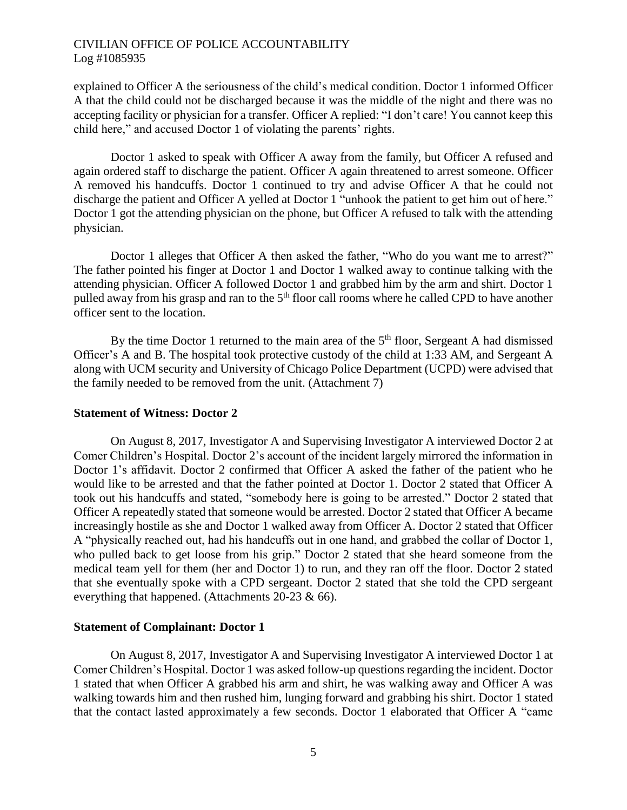explained to Officer A the seriousness of the child's medical condition. Doctor 1 informed Officer A that the child could not be discharged because it was the middle of the night and there was no accepting facility or physician for a transfer. Officer A replied: "I don't care! You cannot keep this child here," and accused Doctor 1 of violating the parents' rights.

Doctor 1 asked to speak with Officer A away from the family, but Officer A refused and again ordered staff to discharge the patient. Officer A again threatened to arrest someone. Officer A removed his handcuffs. Doctor 1 continued to try and advise Officer A that he could not discharge the patient and Officer A yelled at Doctor 1 "unhook the patient to get him out of here." Doctor 1 got the attending physician on the phone, but Officer A refused to talk with the attending physician.

Doctor 1 alleges that Officer A then asked the father, "Who do you want me to arrest?" The father pointed his finger at Doctor 1 and Doctor 1 walked away to continue talking with the attending physician. Officer A followed Doctor 1 and grabbed him by the arm and shirt. Doctor 1 pulled away from his grasp and ran to the  $5<sup>th</sup>$  floor call rooms where he called CPD to have another officer sent to the location.

By the time Doctor 1 returned to the main area of the  $5<sup>th</sup>$  floor, Sergeant A had dismissed Officer's A and B. The hospital took protective custody of the child at 1:33 AM, and Sergeant A along with UCM security and University of Chicago Police Department (UCPD) were advised that the family needed to be removed from the unit. (Attachment 7)

#### **Statement of Witness: Doctor 2**

On August 8, 2017, Investigator A and Supervising Investigator A interviewed Doctor 2 at Comer Children's Hospital. Doctor 2's account of the incident largely mirrored the information in Doctor 1's affidavit. Doctor 2 confirmed that Officer A asked the father of the patient who he would like to be arrested and that the father pointed at Doctor 1. Doctor 2 stated that Officer A took out his handcuffs and stated, "somebody here is going to be arrested." Doctor 2 stated that Officer A repeatedly stated that someone would be arrested. Doctor 2 stated that Officer A became increasingly hostile as she and Doctor 1 walked away from Officer A. Doctor 2 stated that Officer A "physically reached out, had his handcuffs out in one hand, and grabbed the collar of Doctor 1, who pulled back to get loose from his grip." Doctor 2 stated that she heard someone from the medical team yell for them (her and Doctor 1) to run, and they ran off the floor. Doctor 2 stated that she eventually spoke with a CPD sergeant. Doctor 2 stated that she told the CPD sergeant everything that happened. (Attachments 20-23 & 66).

#### **Statement of Complainant: Doctor 1**

On August 8, 2017, Investigator A and Supervising Investigator A interviewed Doctor 1 at Comer Children's Hospital. Doctor 1 was asked follow-up questions regarding the incident. Doctor 1 stated that when Officer A grabbed his arm and shirt, he was walking away and Officer A was walking towards him and then rushed him, lunging forward and grabbing his shirt. Doctor 1 stated that the contact lasted approximately a few seconds. Doctor 1 elaborated that Officer A "came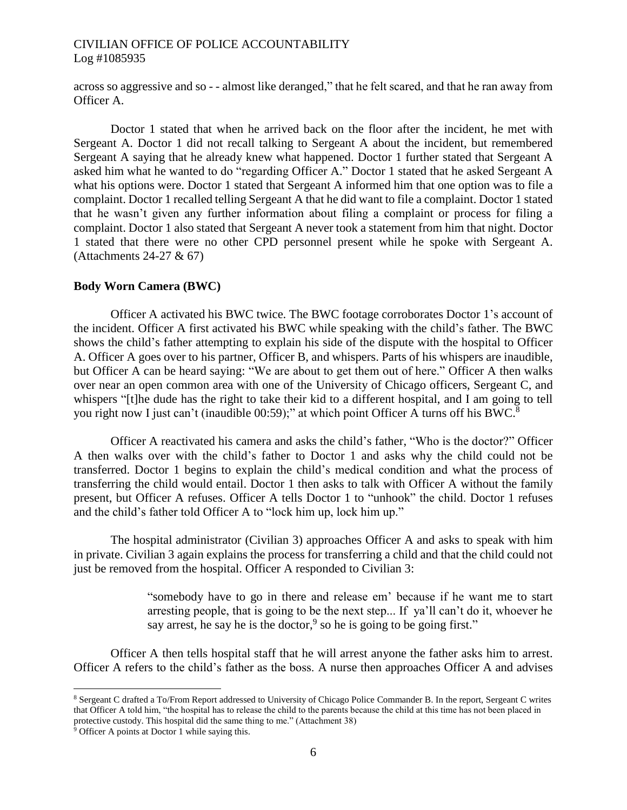across so aggressive and so - - almost like deranged," that he felt scared, and that he ran away from Officer A.

Doctor 1 stated that when he arrived back on the floor after the incident, he met with Sergeant A. Doctor 1 did not recall talking to Sergeant A about the incident, but remembered Sergeant A saying that he already knew what happened. Doctor 1 further stated that Sergeant A asked him what he wanted to do "regarding Officer A." Doctor 1 stated that he asked Sergeant A what his options were. Doctor 1 stated that Sergeant A informed him that one option was to file a complaint. Doctor 1 recalled telling Sergeant A that he did want to file a complaint. Doctor 1 stated that he wasn't given any further information about filing a complaint or process for filing a complaint. Doctor 1 also stated that Sergeant A never took a statement from him that night. Doctor 1 stated that there were no other CPD personnel present while he spoke with Sergeant A. (Attachments 24-27 & 67)

## **Body Worn Camera (BWC)**

Officer A activated his BWC twice. The BWC footage corroborates Doctor 1's account of the incident. Officer A first activated his BWC while speaking with the child's father. The BWC shows the child's father attempting to explain his side of the dispute with the hospital to Officer A. Officer A goes over to his partner, Officer B, and whispers. Parts of his whispers are inaudible, but Officer A can be heard saying: "We are about to get them out of here." Officer A then walks over near an open common area with one of the University of Chicago officers, Sergeant C, and whispers "[t]he dude has the right to take their kid to a different hospital, and I am going to tell you right now I just can't (inaudible 00:59);" at which point Officer A turns off his BWC.<sup>8</sup>

Officer A reactivated his camera and asks the child's father, "Who is the doctor?" Officer A then walks over with the child's father to Doctor 1 and asks why the child could not be transferred. Doctor 1 begins to explain the child's medical condition and what the process of transferring the child would entail. Doctor 1 then asks to talk with Officer A without the family present, but Officer A refuses. Officer A tells Doctor 1 to "unhook" the child. Doctor 1 refuses and the child's father told Officer A to "lock him up, lock him up."

The hospital administrator (Civilian 3) approaches Officer A and asks to speak with him in private. Civilian 3 again explains the process for transferring a child and that the child could not just be removed from the hospital. Officer A responded to Civilian 3:

> "somebody have to go in there and release em' because if he want me to start arresting people, that is going to be the next step... If ya'll can't do it, whoever he say arrest, he say he is the doctor,  $9$  so he is going to be going first."

Officer A then tells hospital staff that he will arrest anyone the father asks him to arrest. Officer A refers to the child's father as the boss. A nurse then approaches Officer A and advises

 $\overline{a}$ 

<sup>8</sup> Sergeant C drafted a To/From Report addressed to University of Chicago Police Commander B. In the report, Sergeant C writes that Officer A told him, "the hospital has to release the child to the parents because the child at this time has not been placed in protective custody. This hospital did the same thing to me." (Attachment 38)

<sup>&</sup>lt;sup>9</sup> Officer A points at Doctor 1 while saying this.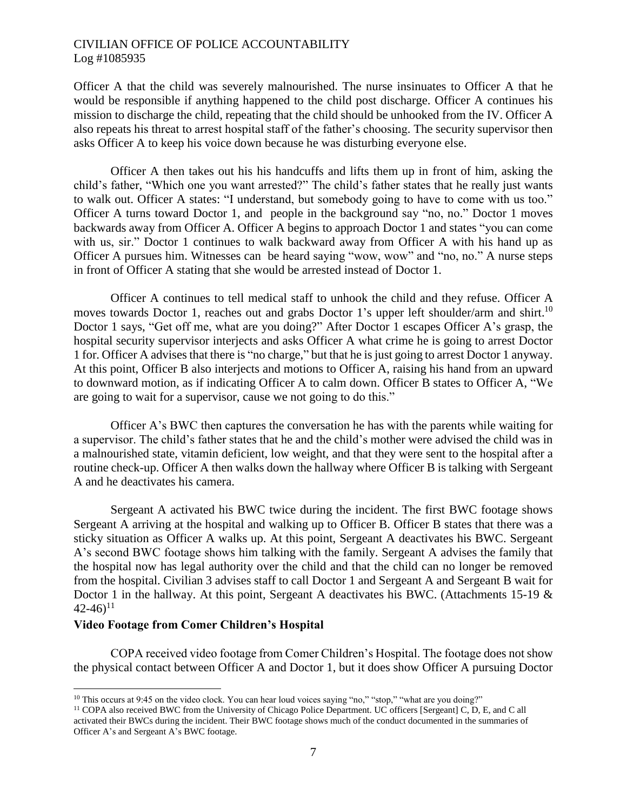Officer A that the child was severely malnourished. The nurse insinuates to Officer A that he would be responsible if anything happened to the child post discharge. Officer A continues his mission to discharge the child, repeating that the child should be unhooked from the IV. Officer A also repeats his threat to arrest hospital staff of the father's choosing. The security supervisor then asks Officer A to keep his voice down because he was disturbing everyone else.

Officer A then takes out his his handcuffs and lifts them up in front of him, asking the child's father, "Which one you want arrested?" The child's father states that he really just wants to walk out. Officer A states: "I understand, but somebody going to have to come with us too." Officer A turns toward Doctor 1, and people in the background say "no, no." Doctor 1 moves backwards away from Officer A. Officer A begins to approach Doctor 1 and states "you can come with us, sir." Doctor 1 continues to walk backward away from Officer A with his hand up as Officer A pursues him. Witnesses can be heard saying "wow, wow" and "no, no." A nurse steps in front of Officer A stating that she would be arrested instead of Doctor 1.

Officer A continues to tell medical staff to unhook the child and they refuse. Officer A moves towards Doctor 1, reaches out and grabs Doctor 1's upper left shoulder/arm and shirt.<sup>10</sup> Doctor 1 says, "Get off me, what are you doing?" After Doctor 1 escapes Officer A's grasp, the hospital security supervisor interjects and asks Officer A what crime he is going to arrest Doctor 1 for. Officer A advises that there is "no charge," but that he is just going to arrest Doctor 1 anyway. At this point, Officer B also interjects and motions to Officer A, raising his hand from an upward to downward motion, as if indicating Officer A to calm down. Officer B states to Officer A, "We are going to wait for a supervisor, cause we not going to do this."

Officer A's BWC then captures the conversation he has with the parents while waiting for a supervisor. The child's father states that he and the child's mother were advised the child was in a malnourished state, vitamin deficient, low weight, and that they were sent to the hospital after a routine check-up. Officer A then walks down the hallway where Officer B is talking with Sergeant A and he deactivates his camera.

Sergeant A activated his BWC twice during the incident. The first BWC footage shows Sergeant A arriving at the hospital and walking up to Officer B. Officer B states that there was a sticky situation as Officer A walks up. At this point, Sergeant A deactivates his BWC. Sergeant A's second BWC footage shows him talking with the family. Sergeant A advises the family that the hospital now has legal authority over the child and that the child can no longer be removed from the hospital. Civilian 3 advises staff to call Doctor 1 and Sergeant A and Sergeant B wait for Doctor 1 in the hallway. At this point, Sergeant A deactivates his BWC. (Attachments 15-19 &  $(42-46)^{11}$ 

#### **Video Footage from Comer Children's Hospital**

 $\overline{a}$ 

COPA received video footage from Comer Children's Hospital. The footage does not show the physical contact between Officer A and Doctor 1, but it does show Officer A pursuing Doctor

<sup>&</sup>lt;sup>10</sup> This occurs at 9:45 on the video clock. You can hear loud voices saying "no," "stop," "what are you doing?"

<sup>11</sup> COPA also received BWC from the University of Chicago Police Department. UC officers [Sergeant] C, D, E, and C all activated their BWCs during the incident. Their BWC footage shows much of the conduct documented in the summaries of Officer A's and Sergeant A's BWC footage.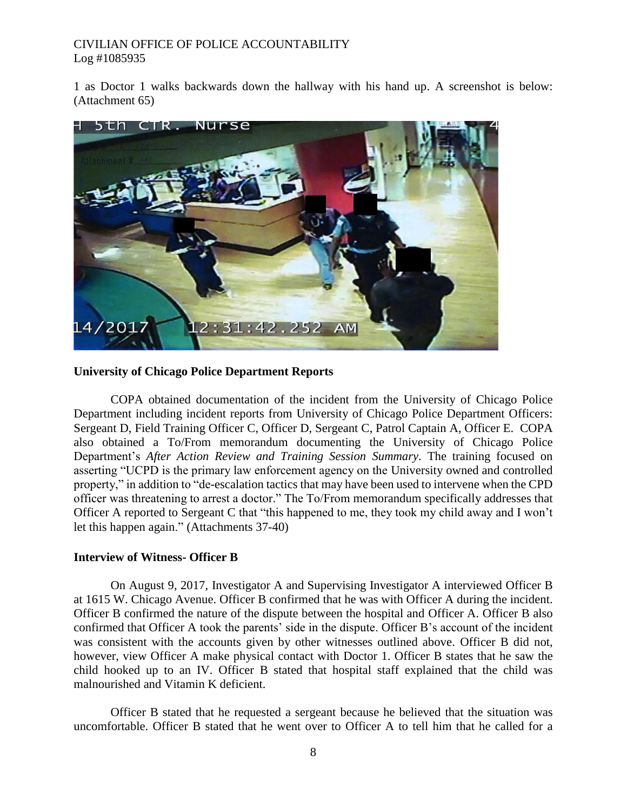1 as Doctor 1 walks backwards down the hallway with his hand up. A screenshot is below: (Attachment 65)



### **University of Chicago Police Department Reports**

COPA obtained documentation of the incident from the University of Chicago Police Department including incident reports from University of Chicago Police Department Officers: Sergeant D, Field Training Officer C, Officer D, Sergeant C, Patrol Captain A, Officer E. COPA also obtained a To/From memorandum documenting the University of Chicago Police Department's *After Action Review and Training Session Summary*. The training focused on asserting "UCPD is the primary law enforcement agency on the University owned and controlled property," in addition to "de-escalation tactics that may have been used to intervene when the CPD officer was threatening to arrest a doctor." The To/From memorandum specifically addresses that Officer A reported to Sergeant C that "this happened to me, they took my child away and I won't let this happen again." (Attachments 37-40)

## **Interview of Witness- Officer B**

On August 9, 2017, Investigator A and Supervising Investigator A interviewed Officer B at 1615 W. Chicago Avenue. Officer B confirmed that he was with Officer A during the incident. Officer B confirmed the nature of the dispute between the hospital and Officer A. Officer B also confirmed that Officer A took the parents' side in the dispute. Officer B's account of the incident was consistent with the accounts given by other witnesses outlined above. Officer B did not, however, view Officer A make physical contact with Doctor 1. Officer B states that he saw the child hooked up to an IV. Officer B stated that hospital staff explained that the child was malnourished and Vitamin K deficient.

Officer B stated that he requested a sergeant because he believed that the situation was uncomfortable. Officer B stated that he went over to Officer A to tell him that he called for a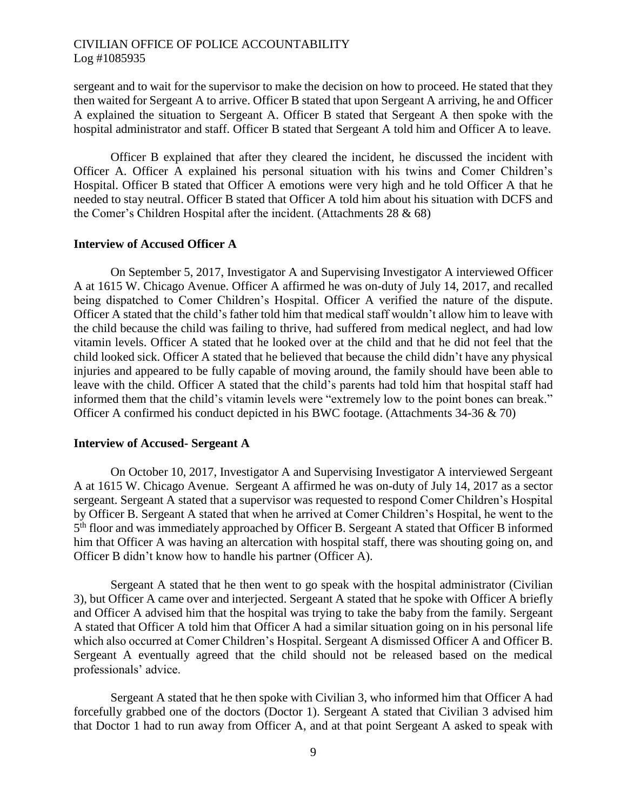sergeant and to wait for the supervisor to make the decision on how to proceed. He stated that they then waited for Sergeant A to arrive. Officer B stated that upon Sergeant A arriving, he and Officer A explained the situation to Sergeant A. Officer B stated that Sergeant A then spoke with the hospital administrator and staff. Officer B stated that Sergeant A told him and Officer A to leave.

Officer B explained that after they cleared the incident, he discussed the incident with Officer A. Officer A explained his personal situation with his twins and Comer Children's Hospital. Officer B stated that Officer A emotions were very high and he told Officer A that he needed to stay neutral. Officer B stated that Officer A told him about his situation with DCFS and the Comer's Children Hospital after the incident. (Attachments 28 & 68)

#### **Interview of Accused Officer A**

On September 5, 2017, Investigator A and Supervising Investigator A interviewed Officer A at 1615 W. Chicago Avenue. Officer A affirmed he was on-duty of July 14, 2017, and recalled being dispatched to Comer Children's Hospital. Officer A verified the nature of the dispute. Officer A stated that the child's father told him that medical staff wouldn't allow him to leave with the child because the child was failing to thrive, had suffered from medical neglect, and had low vitamin levels. Officer A stated that he looked over at the child and that he did not feel that the child looked sick. Officer A stated that he believed that because the child didn't have any physical injuries and appeared to be fully capable of moving around, the family should have been able to leave with the child. Officer A stated that the child's parents had told him that hospital staff had informed them that the child's vitamin levels were "extremely low to the point bones can break." Officer A confirmed his conduct depicted in his BWC footage. (Attachments 34-36 & 70)

#### **Interview of Accused- Sergeant A**

On October 10, 2017, Investigator A and Supervising Investigator A interviewed Sergeant A at 1615 W. Chicago Avenue. Sergeant A affirmed he was on-duty of July 14, 2017 as a sector sergeant. Sergeant A stated that a supervisor was requested to respond Comer Children's Hospital by Officer B. Sergeant A stated that when he arrived at Comer Children's Hospital, he went to the 5<sup>th</sup> floor and was immediately approached by Officer B. Sergeant A stated that Officer B informed him that Officer A was having an altercation with hospital staff, there was shouting going on, and Officer B didn't know how to handle his partner (Officer A).

Sergeant A stated that he then went to go speak with the hospital administrator (Civilian 3), but Officer A came over and interjected. Sergeant A stated that he spoke with Officer A briefly and Officer A advised him that the hospital was trying to take the baby from the family. Sergeant A stated that Officer A told him that Officer A had a similar situation going on in his personal life which also occurred at Comer Children's Hospital. Sergeant A dismissed Officer A and Officer B. Sergeant A eventually agreed that the child should not be released based on the medical professionals' advice.

Sergeant A stated that he then spoke with Civilian 3, who informed him that Officer A had forcefully grabbed one of the doctors (Doctor 1). Sergeant A stated that Civilian 3 advised him that Doctor 1 had to run away from Officer A, and at that point Sergeant A asked to speak with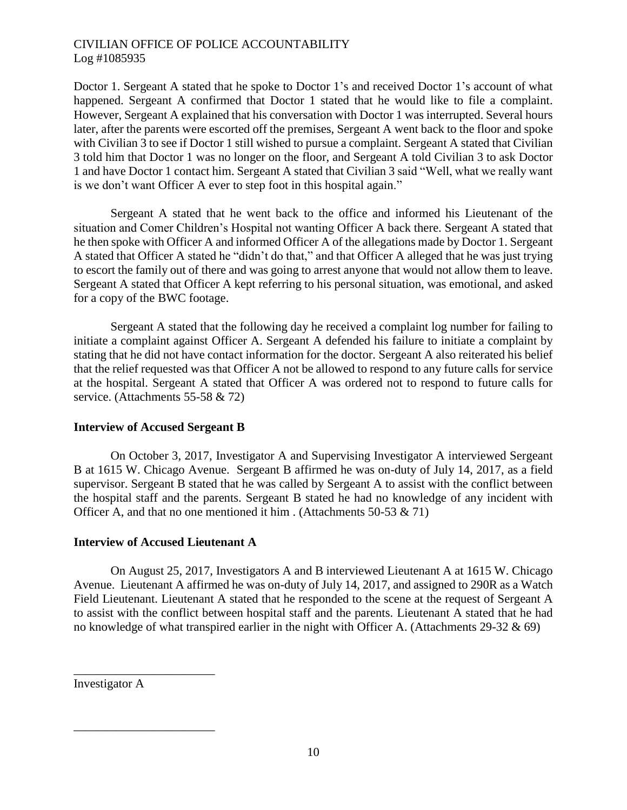Doctor 1. Sergeant A stated that he spoke to Doctor 1's and received Doctor 1's account of what happened. Sergeant A confirmed that Doctor 1 stated that he would like to file a complaint. However, Sergeant A explained that his conversation with Doctor 1 was interrupted. Several hours later, after the parents were escorted off the premises, Sergeant A went back to the floor and spoke with Civilian 3 to see if Doctor 1 still wished to pursue a complaint. Sergeant A stated that Civilian 3 told him that Doctor 1 was no longer on the floor, and Sergeant A told Civilian 3 to ask Doctor 1 and have Doctor 1 contact him. Sergeant A stated that Civilian 3 said "Well, what we really want is we don't want Officer A ever to step foot in this hospital again."

Sergeant A stated that he went back to the office and informed his Lieutenant of the situation and Comer Children's Hospital not wanting Officer A back there. Sergeant A stated that he then spoke with Officer A and informed Officer A of the allegations made by Doctor 1. Sergeant A stated that Officer A stated he "didn't do that," and that Officer A alleged that he was just trying to escort the family out of there and was going to arrest anyone that would not allow them to leave. Sergeant A stated that Officer A kept referring to his personal situation, was emotional, and asked for a copy of the BWC footage.

Sergeant A stated that the following day he received a complaint log number for failing to initiate a complaint against Officer A. Sergeant A defended his failure to initiate a complaint by stating that he did not have contact information for the doctor. Sergeant A also reiterated his belief that the relief requested was that Officer A not be allowed to respond to any future calls for service at the hospital. Sergeant A stated that Officer A was ordered not to respond to future calls for service. (Attachments 55-58 & 72)

# **Interview of Accused Sergeant B**

On October 3, 2017, Investigator A and Supervising Investigator A interviewed Sergeant B at 1615 W. Chicago Avenue. Sergeant B affirmed he was on-duty of July 14, 2017, as a field supervisor. Sergeant B stated that he was called by Sergeant A to assist with the conflict between the hospital staff and the parents. Sergeant B stated he had no knowledge of any incident with Officer A, and that no one mentioned it him. (Attachments 50-53  $\&$  71)

# **Interview of Accused Lieutenant A**

On August 25, 2017, Investigators A and B interviewed Lieutenant A at 1615 W. Chicago Avenue. Lieutenant A affirmed he was on-duty of July 14, 2017, and assigned to 290R as a Watch Field Lieutenant. Lieutenant A stated that he responded to the scene at the request of Sergeant A to assist with the conflict between hospital staff and the parents. Lieutenant A stated that he had no knowledge of what transpired earlier in the night with Officer A. (Attachments  $29-32 \& 69$ )

Investigator A

\_\_\_\_\_\_\_\_\_\_\_\_\_\_\_\_\_\_\_\_\_\_\_

\_\_\_\_\_\_\_\_\_\_\_\_\_\_\_\_\_\_\_\_\_\_\_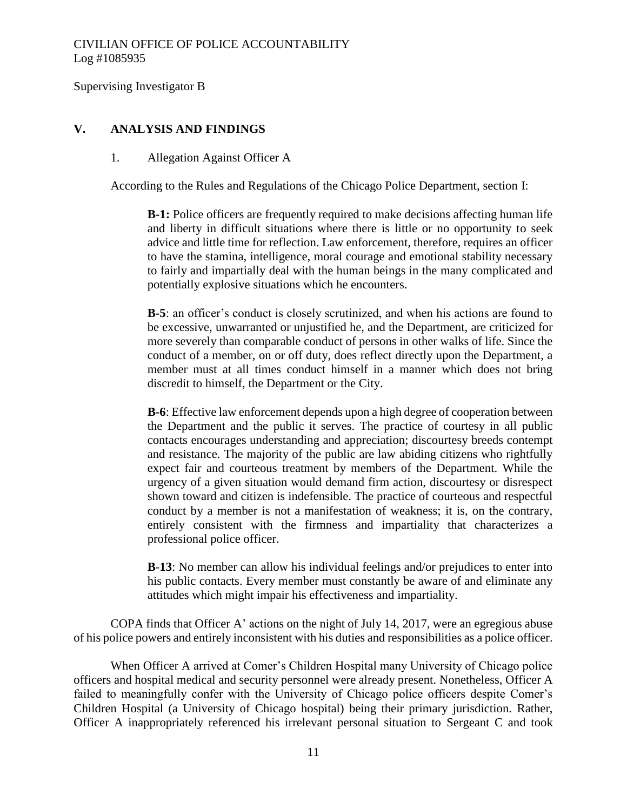Supervising Investigator B

## **V. ANALYSIS AND FINDINGS**

#### 1. Allegation Against Officer A

According to the Rules and Regulations of the Chicago Police Department, section I:

**B-1:** Police officers are frequently required to make decisions affecting human life and liberty in difficult situations where there is little or no opportunity to seek advice and little time for reflection. Law enforcement, therefore, requires an officer to have the stamina, intelligence, moral courage and emotional stability necessary to fairly and impartially deal with the human beings in the many complicated and potentially explosive situations which he encounters.

**B-5**: an officer's conduct is closely scrutinized, and when his actions are found to be excessive, unwarranted or unjustified he, and the Department, are criticized for more severely than comparable conduct of persons in other walks of life. Since the conduct of a member, on or off duty, does reflect directly upon the Department, a member must at all times conduct himself in a manner which does not bring discredit to himself, the Department or the City.

**B-6**: Effective law enforcement depends upon a high degree of cooperation between the Department and the public it serves. The practice of courtesy in all public contacts encourages understanding and appreciation; discourtesy breeds contempt and resistance. The majority of the public are law abiding citizens who rightfully expect fair and courteous treatment by members of the Department. While the urgency of a given situation would demand firm action, discourtesy or disrespect shown toward and citizen is indefensible. The practice of courteous and respectful conduct by a member is not a manifestation of weakness; it is, on the contrary, entirely consistent with the firmness and impartiality that characterizes a professional police officer.

**B**-**13**: No member can allow his individual feelings and/or prejudices to enter into his public contacts. Every member must constantly be aware of and eliminate any attitudes which might impair his effectiveness and impartiality.

COPA finds that Officer A' actions on the night of July 14, 2017, were an egregious abuse of his police powers and entirely inconsistent with his duties and responsibilities as a police officer.

When Officer A arrived at Comer's Children Hospital many University of Chicago police officers and hospital medical and security personnel were already present. Nonetheless, Officer A failed to meaningfully confer with the University of Chicago police officers despite Comer's Children Hospital (a University of Chicago hospital) being their primary jurisdiction. Rather, Officer A inappropriately referenced his irrelevant personal situation to Sergeant C and took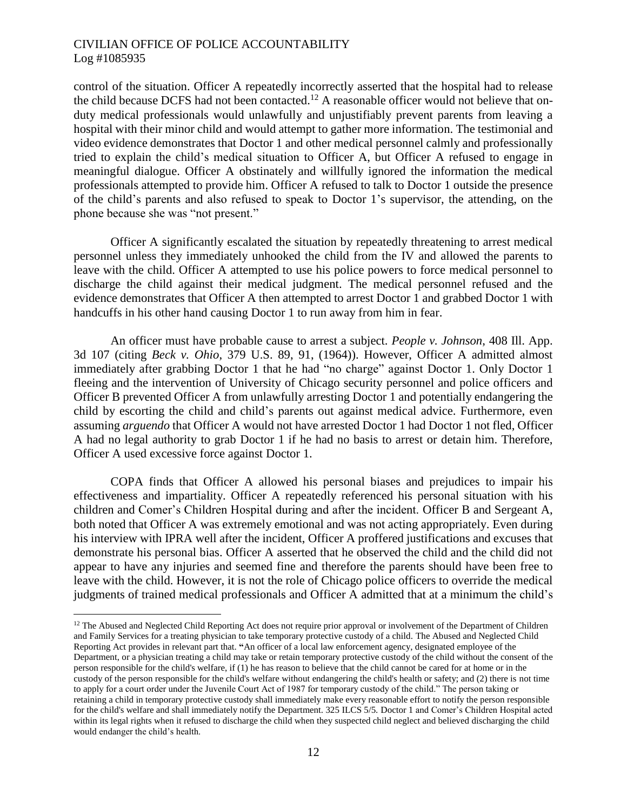$\overline{a}$ 

control of the situation. Officer A repeatedly incorrectly asserted that the hospital had to release the child because DCFS had not been contacted.<sup>12</sup> A reasonable officer would not believe that onduty medical professionals would unlawfully and unjustifiably prevent parents from leaving a hospital with their minor child and would attempt to gather more information. The testimonial and video evidence demonstrates that Doctor 1 and other medical personnel calmly and professionally tried to explain the child's medical situation to Officer A, but Officer A refused to engage in meaningful dialogue. Officer A obstinately and willfully ignored the information the medical professionals attempted to provide him. Officer A refused to talk to Doctor 1 outside the presence of the child's parents and also refused to speak to Doctor 1's supervisor, the attending, on the phone because she was "not present."

Officer A significantly escalated the situation by repeatedly threatening to arrest medical personnel unless they immediately unhooked the child from the IV and allowed the parents to leave with the child. Officer A attempted to use his police powers to force medical personnel to discharge the child against their medical judgment. The medical personnel refused and the evidence demonstrates that Officer A then attempted to arrest Doctor 1 and grabbed Doctor 1 with handcuffs in his other hand causing Doctor 1 to run away from him in fear.

An officer must have probable cause to arrest a subject. *People v. Johnson*, 408 Ill. App. 3d 107 (citing *Beck v. Ohio*, 379 U.S. 89, 91, (1964)). However, Officer A admitted almost immediately after grabbing Doctor 1 that he had "no charge" against Doctor 1. Only Doctor 1 fleeing and the intervention of University of Chicago security personnel and police officers and Officer B prevented Officer A from unlawfully arresting Doctor 1 and potentially endangering the child by escorting the child and child's parents out against medical advice. Furthermore, even assuming *arguendo* that Officer A would not have arrested Doctor 1 had Doctor 1 not fled, Officer A had no legal authority to grab Doctor 1 if he had no basis to arrest or detain him. Therefore, Officer A used excessive force against Doctor 1.

COPA finds that Officer A allowed his personal biases and prejudices to impair his effectiveness and impartiality. Officer A repeatedly referenced his personal situation with his children and Comer's Children Hospital during and after the incident. Officer B and Sergeant A, both noted that Officer A was extremely emotional and was not acting appropriately. Even during his interview with IPRA well after the incident, Officer A proffered justifications and excuses that demonstrate his personal bias. Officer A asserted that he observed the child and the child did not appear to have any injuries and seemed fine and therefore the parents should have been free to leave with the child. However, it is not the role of Chicago police officers to override the medical judgments of trained medical professionals and Officer A admitted that at a minimum the child's

<sup>&</sup>lt;sup>12</sup> The Abused and Neglected Child Reporting Act does not require prior approval or involvement of the Department of Children and Family Services for a treating physician to take temporary protective custody of a child. The Abused and Neglected Child Reporting Act provides in relevant part that. **"**An officer of a local law enforcement agency, designated employee of the Department, or a physician treating a child may take or retain temporary protective custody of the child without the consent of the person responsible for the child's welfare, if (1) he has reason to believe that the child cannot be cared for at home or in the custody of the person responsible for the child's welfare without endangering the child's health or safety; and (2) there is not time to apply for a court order under the Juvenile Court Act of 1987 for temporary custody of the child." The person taking or retaining a child in temporary protective custody shall immediately make every reasonable effort to notify the person responsible for the child's welfare and shall immediately notify the Department. 325 ILCS 5/5. Doctor 1 and Comer's Children Hospital acted within its legal rights when it refused to discharge the child when they suspected child neglect and believed discharging the child would endanger the child's health.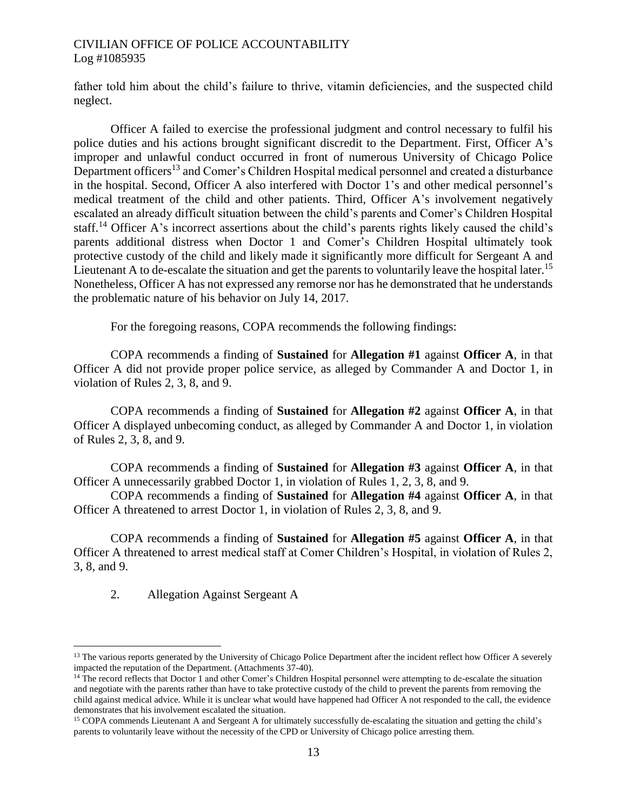father told him about the child's failure to thrive, vitamin deficiencies, and the suspected child neglect.

Officer A failed to exercise the professional judgment and control necessary to fulfil his police duties and his actions brought significant discredit to the Department. First, Officer A's improper and unlawful conduct occurred in front of numerous University of Chicago Police Department officers<sup>13</sup> and Comer's Children Hospital medical personnel and created a disturbance in the hospital. Second, Officer A also interfered with Doctor 1's and other medical personnel's medical treatment of the child and other patients. Third, Officer A's involvement negatively escalated an already difficult situation between the child's parents and Comer's Children Hospital staff.<sup>14</sup> Officer A's incorrect assertions about the child's parents rights likely caused the child's parents additional distress when Doctor 1 and Comer's Children Hospital ultimately took protective custody of the child and likely made it significantly more difficult for Sergeant A and Lieutenant A to de-escalate the situation and get the parents to voluntarily leave the hospital later.<sup>15</sup> Nonetheless, Officer A has not expressed any remorse nor has he demonstrated that he understands the problematic nature of his behavior on July 14, 2017.

For the foregoing reasons, COPA recommends the following findings:

COPA recommends a finding of **Sustained** for **Allegation #1** against **Officer A**, in that Officer A did not provide proper police service, as alleged by Commander A and Doctor 1, in violation of Rules 2, 3, 8, and 9.

COPA recommends a finding of **Sustained** for **Allegation #2** against **Officer A**, in that Officer A displayed unbecoming conduct, as alleged by Commander A and Doctor 1, in violation of Rules 2, 3, 8, and 9.

COPA recommends a finding of **Sustained** for **Allegation #3** against **Officer A**, in that Officer A unnecessarily grabbed Doctor 1, in violation of Rules 1, 2, 3, 8, and 9.

COPA recommends a finding of **Sustained** for **Allegation #4** against **Officer A**, in that Officer A threatened to arrest Doctor 1, in violation of Rules 2, 3, 8, and 9.

COPA recommends a finding of **Sustained** for **Allegation #5** against **Officer A**, in that Officer A threatened to arrest medical staff at Comer Children's Hospital, in violation of Rules 2, 3, 8, and 9.

2. Allegation Against Sergeant A

 $\overline{a}$ 

<sup>&</sup>lt;sup>13</sup> The various reports generated by the University of Chicago Police Department after the incident reflect how Officer A severely impacted the reputation of the Department. (Attachments 37-40).

<sup>14</sup> The record reflects that Doctor 1 and other Comer's Children Hospital personnel were attempting to de-escalate the situation and negotiate with the parents rather than have to take protective custody of the child to prevent the parents from removing the child against medical advice. While it is unclear what would have happened had Officer A not responded to the call, the evidence demonstrates that his involvement escalated the situation.

<sup>&</sup>lt;sup>15</sup> COPA commends Lieutenant A and Sergeant A for ultimately successfully de-escalating the situation and getting the child's parents to voluntarily leave without the necessity of the CPD or University of Chicago police arresting them.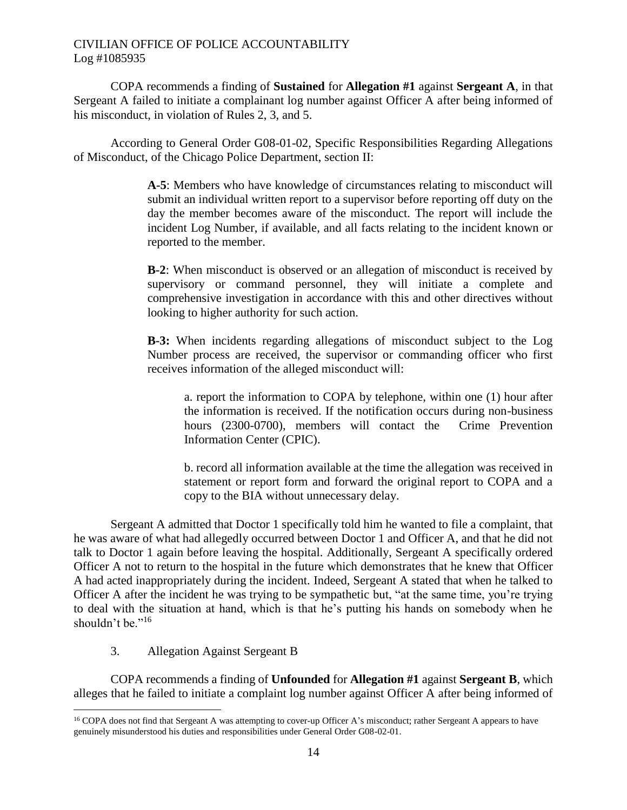COPA recommends a finding of **Sustained** for **Allegation #1** against **Sergeant A**, in that Sergeant A failed to initiate a complainant log number against Officer A after being informed of his misconduct, in violation of Rules 2, 3, and 5.

According to General Order G08-01-02, Specific Responsibilities Regarding Allegations of Misconduct, of the Chicago Police Department, section II:

> **A-5**: Members who have knowledge of circumstances relating to misconduct will submit an individual written report to a supervisor before reporting off duty on the day the member becomes aware of the misconduct. The report will include the incident Log Number, if available, and all facts relating to the incident known or reported to the member.

> **B-2**: When misconduct is observed or an allegation of misconduct is received by supervisory or command personnel, they will initiate a complete and comprehensive investigation in accordance with this and other directives without looking to higher authority for such action.

> **B-3:** When incidents regarding allegations of misconduct subject to the Log Number process are received, the supervisor or commanding officer who first receives information of the alleged misconduct will:

a. report the information to COPA by telephone, within one (1) hour after the information is received. If the notification occurs during non-business hours (2300-0700), members will contact the Crime Prevention Information Center (CPIC).

b. record all information available at the time the allegation was received in statement or report form and forward the original report to COPA and a copy to the BIA without unnecessary delay.

Sergeant A admitted that Doctor 1 specifically told him he wanted to file a complaint, that he was aware of what had allegedly occurred between Doctor 1 and Officer A, and that he did not talk to Doctor 1 again before leaving the hospital. Additionally, Sergeant A specifically ordered Officer A not to return to the hospital in the future which demonstrates that he knew that Officer A had acted inappropriately during the incident. Indeed, Sergeant A stated that when he talked to Officer A after the incident he was trying to be sympathetic but, "at the same time, you're trying to deal with the situation at hand, which is that he's putting his hands on somebody when he shouldn't be."<sup>16</sup>

3. Allegation Against Sergeant B

 $\overline{a}$ 

COPA recommends a finding of **Unfounded** for **Allegation #1** against **Sergeant B**, which alleges that he failed to initiate a complaint log number against Officer A after being informed of

<sup>&</sup>lt;sup>16</sup> COPA does not find that Sergeant A was attempting to cover-up Officer A's misconduct; rather Sergeant A appears to have genuinely misunderstood his duties and responsibilities under General Order G08-02-01.